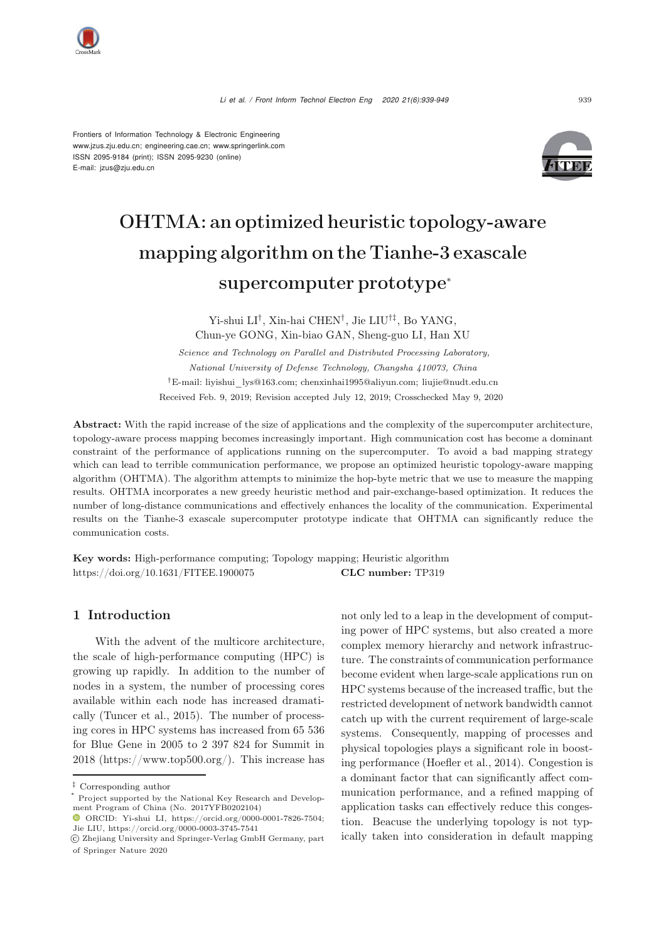E-mail: jzus@zju.edu.cn



# OHTMA: an optimized heuristic topology-aware mapping algorithm on the Tianhe-3 exascale supercomputer prototype<sup>∗</sup>

Yi-shui LI*†*, Xin-hai CHEN*†*, Jie LIU*†‡*, Bo YANG, Chun-ye GONG, Xin-biao GAN, Sheng-guo LI, Han XU

*Science and Technology on Parallel and Distributed Processing Laboratory, National University of Defense Technology, Changsha 410073, China* †E-mail: liyishui\_lys@163.com; chenxinhai1995@aliyun.com; liujie@nudt.edu.cn Received Feb. 9, 2019; Revision accepted July 12, 2019; Crosschecked May 9, 2020

Abstract: With the rapid increase of the size of applications and the complexity of the supercomputer architecture, topology-aware process mapping becomes increasingly important. High communication cost has become a dominant constraint of the performance of applications running on the supercomputer. To avoid a bad mapping strategy which can lead to terrible communication performance, we propose an optimized heuristic topology-aware mapping algorithm (OHTMA). The algorithm attempts to minimize the hop-byte metric that we use to measure the mapping results. OHTMA incorporates a new greedy heuristic method and pair-exchange-based optimization. It reduces the number of long-distance communications and effectively enhances the locality of the communication. Experimental results on the Tianhe-3 exascale supercomputer prototype indicate that OHTMA can significantly reduce the communication costs.

Key words: High-performance computing; Topology mapping; Heuristic algorithm https://doi.org/10.1631/FITEE.1900075 CLC number: TP319

# 1 Introduction

With the advent of the multicore architecture, the scale of high-performance computing (HPC) is growing up rapidly. In addition to the number of nodes in a system, the number of processing cores available within each node has increased dramatically [\(Tuncer et al., 2015](#page-10-0)). The number of processing cores in HPC systems has increased from 65 536 for Blue Gene in 2005 to 2 397 824 for Summit in 2018 (https://www.top500.org/). This increase has not only led to a leap in the development of computing power of HPC systems, but also created a more complex memory hierarchy and network infrastructure. The constraints of communication performance become evident when large-scale applications run on HPC systems because of the increased traffic, but the restricted development of network bandwidth cannot catch up with the current requirement of large-scale systems. Consequently, mapping of processes and physical topologies plays a significant role in boosting performance [\(Hoefler et al., 2014](#page-10-1)). Congestion is a dominant factor that can significantly affect communication performance, and a refined mapping of application tasks can effectively reduce this congestion. Beacuse the underlying topology is not typically taken into consideration in default mapping

<sup>‡</sup> Corresponding author

Project supported by the National Key Research and Development Program of China (No. 2017YFB0202104)

ORCID: Yi-shui LI, https://orcid.org/0000-0001-7826-7504; Jie LIU, https://orcid.org/0000-0003-3745-7541

c Zhejiang University and Springer-Verlag GmbH Germany, part of Springer Nature 2020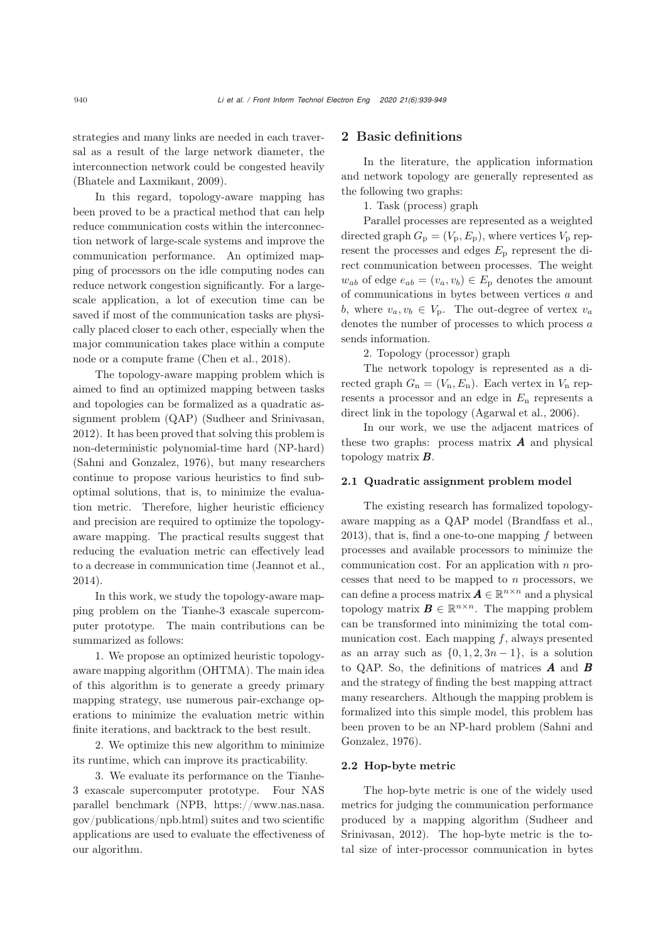strategies and many links are needed in each traversal as a result of the large network diameter, the interconnection network could be congested heavily [\(Bhatele and Laxmikant, 2009](#page-9-0)).

In this regard, topology-aware mapping has been proved to be a practical method that can help reduce communication costs within the interconnection network of large-scale systems and improve the communication performance. An optimized mapping of processors on the idle computing nodes can reduce network congestion significantly. For a largescale application, a lot of execution time can be saved if most of the communication tasks are physically placed closer to each other, especially when the major communication takes place within a compute node or a compute frame [\(Chen et al., 2018\)](#page-10-2).

The topology-aware mapping problem which is aimed to find an optimized mapping between tasks and topologies can be formalized as a quadratic assignment problem (QAP) [\(Sudheer and Srinivasan,](#page-10-3) [2012](#page-10-3)). It has been proved that solving this problem is non-deterministic polynomial-time hard (NP-hard) [\(Sahni and Gonzalez](#page-10-4), [1976](#page-10-4)), but many researchers continue to propose various heuristics to find suboptimal solutions, that is, to minimize the evaluation metric. Therefore, higher heuristic efficiency and precision are required to optimize the topologyaware mapping. The practical results suggest that reducing the evaluation metric can effectively lead to a decrease in communication time [\(Jeannot et al.](#page-10-5), [2014](#page-10-5)).

In this work, we study the topology-aware mapping problem on the Tianhe-3 exascale supercomputer prototype. The main contributions can be summarized as follows:

1. We propose an optimized heuristic topologyaware mapping algorithm (OHTMA). The main idea of this algorithm is to generate a greedy primary mapping strategy, use numerous pair-exchange operations to minimize the evaluation metric within finite iterations, and backtrack to the best result.

2. We optimize this new algorithm to minimize its runtime, which can improve its practicability.

3. We evaluate its performance on the Tianhe-3 exascale supercomputer prototype. Four NAS parallel benchmark (NPB, https://www.nas.nasa. gov/publications/npb.html) suites and two scientific applications are used to evaluate the effectiveness of our algorithm.

# 2 Basic definitions

In the literature, the application information and network topology are generally represented as the following two graphs:

1. Task (process) graph

Parallel processes are represented as a weighted directed graph  $G_p = (V_p, E_p)$ , where vertices  $V_p$  represent the processes and edges  $E<sub>p</sub>$  represent the direct communication between processes. The weight  $w_{ab}$  of edge  $e_{ab} = (v_a, v_b) \in E_p$  denotes the amount of communications in bytes between vertices *a* and *b*, where  $v_a, v_b \in V_p$ . The out-degree of vertex  $v_a$ denotes the number of processes to which process *a* sends information.

2. Topology (processor) graph

The network topology is represented as a directed graph  $G_n = (V_n, E_n)$ . Each vertex in  $V_n$  represents a processor and an edge in *E*<sup>n</sup> represents a direct link in the topology [\(Agarwal et al., 2006\)](#page-9-1).

In our work, we use the adjacent matrices of these two graphs: process matrix *A* and physical topology matrix *B*.

#### 2.1 Quadratic assignment problem model

The existing research has formalized topologyaware mapping as a QAP model [\(Brandfass et al.](#page-9-2), [2013](#page-9-2)), that is, find a one-to-one mapping *f* between processes and available processors to minimize the communication cost. For an application with *n* processes that need to be mapped to *n* processors, we can define a process matrix  $A \in \mathbb{R}^{n \times n}$  and a physical topology matrix  $\mathbf{B} \in \mathbb{R}^{n \times n}$ . The mapping problem can be transformed into minimizing the total communication cost. Each mapping *f*, always presented as an array such as  $\{0, 1, 2, 3n - 1\}$ , is a solution to QAP. So, the definitions of matrices *A* and *B* and the strategy of finding the best mapping attract many researchers. Although the mapping problem is formalized into this simple model, this problem has been pro[ven](#page-10-4) [to](#page-10-4) [be](#page-10-4) [an](#page-10-4) [NP-hard](#page-10-4) [problem](#page-10-4) [\(](#page-10-4)Sahni and Gonzalez, [1976](#page-10-4)).

### 2.2 Hop-byte metric

The hop-byte metric is one of the widely used metrics for judging the communication performance produced [by](#page-10-3) [a](#page-10-3) [mapping](#page-10-3) [algorithm](#page-10-3) [\(](#page-10-3)Sudheer and Srinivasan, [2012](#page-10-3)). The hop-byte metric is the total size of inter-processor communication in bytes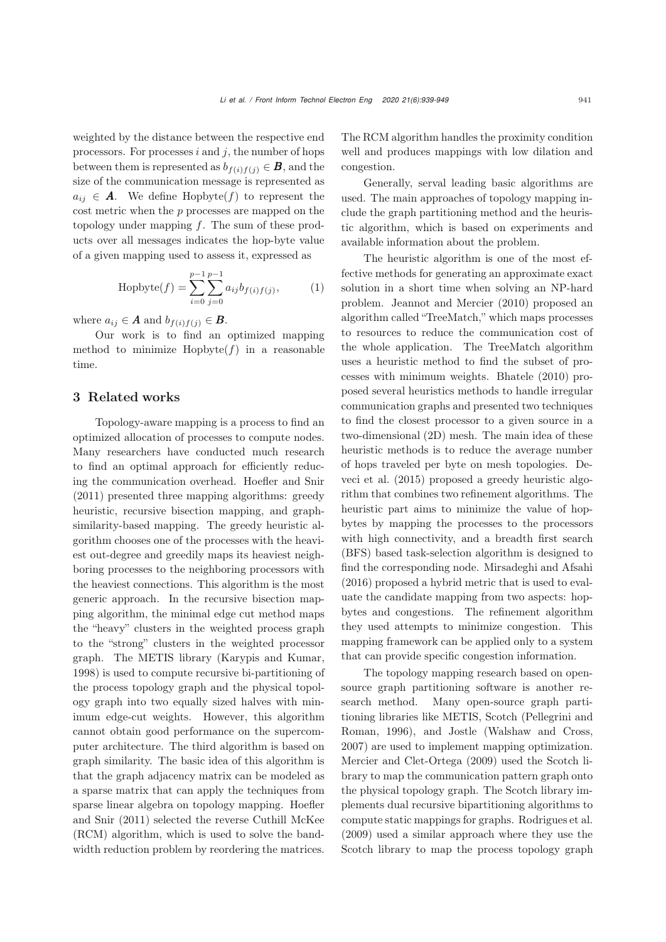weighted by the distance between the respective end processors. For processes *i* and *j*, the number of hops between them is represented as  $b_{f(i)f(j)} \in \mathbf{B}$ , and the size of the communication message is represented as  $a_{ij} \in A$ . We define Hopbyte(*f*) to represent the cost metric when the *p* processes are mapped on the topology under mapping *f*. The sum of these products over all messages indicates the hop-byte value of a given mapping used to assess it, expressed as

<span id="page-2-0"></span>Hopbyte
$$
(f)
$$
 =  $\sum_{i=0}^{p-1} \sum_{j=0}^{p-1} a_{ij} b_{f(i)f(j)},$  (1)

where  $a_{ij} \in A$  and  $b_{f(i)f(j)} \in B$ .

Our work is to find an optimized mapping method to minimize  $Hopbyte(f)$  in a reasonable time.

## 3 Related works

Topology-aware mapping is a process to find an optimized allocation of processes to compute nodes. Many researchers have conducted much research to find an optimal approach for efficiently reducing the communication overhead. [Hoefler and Snir](#page-10-6) [\(2011](#page-10-6)) presented three mapping algorithms: greedy heuristic, recursive bisection mapping, and graphsimilarity-based mapping. The greedy heuristic algorithm chooses one of the processes with the heaviest out-degree and greedily maps its heaviest neighboring processes to the neighboring processors with the heaviest connections. This algorithm is the most generic approach. In the recursive bisection mapping algorithm, the minimal edge cut method maps the "heavy" clusters in the weighted process graph to the "strong" clusters in the weighted processor graph. The METIS library [\(Karypis and Kumar,](#page-10-7) [1998](#page-10-7)) is used to compute recursive bi-partitioning of the process topology graph and the physical topology graph into two equally sized halves with minimum edge-cut weights. However, this algorithm cannot obtain good performance on the supercomputer architecture. The third algorithm is based on graph similarity. The basic idea of this algorithm is that the graph adjacency matrix can be modeled as a sparse matrix that can apply the techniques from sparse li[near](#page-10-6) [algebra](#page-10-6) [on](#page-10-6) [topology](#page-10-6) [mapping.](#page-10-6) Hoefler and Snir [\(2011](#page-10-6)) selected the reverse Cuthill McKee (RCM) algorithm, which is used to solve the bandwidth reduction problem by reordering the matrices.

The RCM algorithm handles the proximity condition well and produces mappings with low dilation and congestion.

Generally, serval leading basic algorithms are used. The main approaches of topology mapping include the graph partitioning method and the heuristic algorithm, which is based on experiments and available information about the problem.

The heuristic algorithm is one of the most effective methods for generating an approximate exact solution in a short time when solving an NP-hard problem. [Jeannot and Mercier](#page-10-8) [\(2010](#page-10-8)) proposed an algorithm called "TreeMatch," which maps processes to resources to reduce the communication cost of the whole application. The TreeMatch algorithm uses a heuristic method to find the subset of processes with minimum weights. [Bhatele](#page-9-3) [\(2010\)](#page-9-3) proposed several heuristics methods to handle irregular communication graphs and presented two techniques to find the closest processor to a given source in a two-dimensional (2D) mesh. The main idea of these heuristic methods is to reduce the average number of hops t[raveled](#page-10-9) [per](#page-10-9) [byte](#page-10-9) [on](#page-10-9) [mesh](#page-10-9) [topologies.](#page-10-9) Deveci et al. [\(2015](#page-10-9)) proposed a greedy heuristic algorithm that combines two refinement algorithms. The heuristic part aims to minimize the value of hopbytes by mapping the processes to the processors with high connectivity, and a breadth first search (BFS) based task-selection algorithm is designed to find the corresponding node. [Mirsadeghi and Afsahi](#page-10-10) [\(2016](#page-10-10)) proposed a hybrid metric that is used to evaluate the candidate mapping from two aspects: hopbytes and congestions. The refinement algorithm they used attempts to minimize congestion. This mapping framework can be applied only to a system that can provide specific congestion information.

The topology mapping research based on opensource graph partitioning software is another research method. Many open-source graph partitioning [libraries](#page-10-11) [like](#page-10-11) [METIS,](#page-10-11) [Scotch](#page-10-11) [\(](#page-10-11)Pellegrini and Roman, [1996](#page-10-11)), and Jostle [\(Walshaw and Cross,](#page-10-12) [2007](#page-10-12)) are used to implement mapping optimization. [Mercier and Clet-Ortega](#page-10-13) [\(2009\)](#page-10-13) used the Scotch library to map the communication pattern graph onto the physical topology graph. The Scotch library implements dual recursive bipartitioning algorithms to compute static mappings for graphs. Rodrigues et al. (2009) used a similar approach where they use the Scotch library to map the process topology graph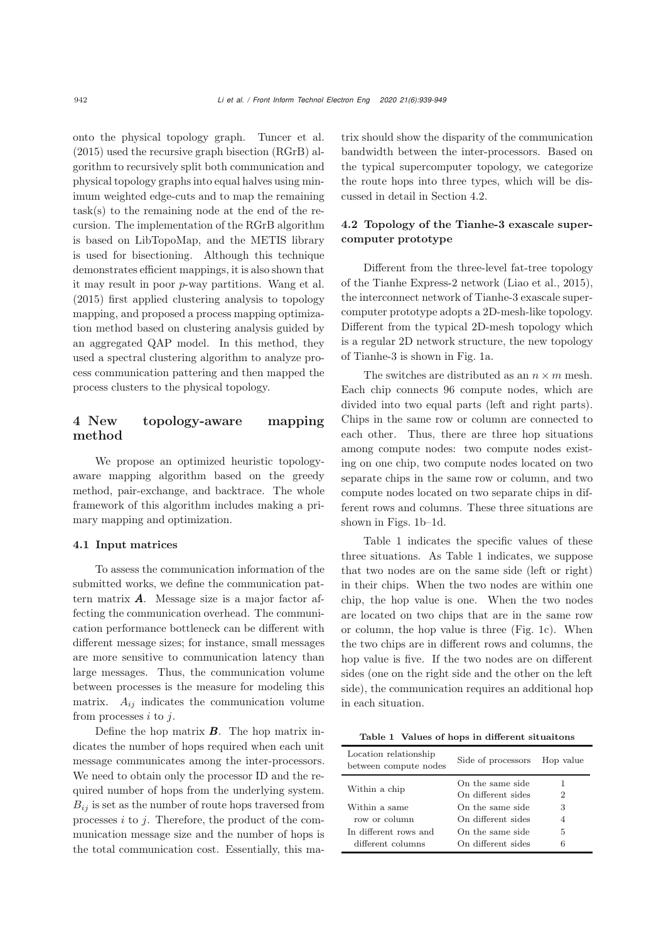onto the physical topology graph. [Tuncer et al.](#page-10-0) [\(2015](#page-10-0)) used the recursive graph bisection (RGrB) algorithm to recursively split both communication and physical topology graphs into equal halves using minimum weighted edge-cuts and to map the remaining task(s) to the remaining node at the end of the recursion. The implementation of the RGrB algorithm is based on LibTopoMap, and the METIS library is used for bisectioning. Although this technique demonstrates efficient mappings, it is also shown that it may result in poor *p*-way partitions. [Wang et al.](#page-10-14) [\(2015](#page-10-14)) first applied clustering analysis to topology mapping, and proposed a process mapping optimization method based on clustering analysis guided by an aggregated QAP model. In this method, they used a spectral clustering algorithm to analyze process communication pattering and then mapped the process clusters to the physical topology.

# 4 New topology-aware mapping method

We propose an optimized heuristic topologyaware mapping algorithm based on the greedy method, pair-exchange, and backtrace. The whole framework of this algorithm includes making a primary mapping and optimization.

#### 4.1 Input matrices

To assess the communication information of the submitted works, we define the communication pattern matrix *A*. Message size is a major factor affecting the communication overhead. The communication performance bottleneck can be different with different message sizes; for instance, small messages are more sensitive to communication latency than large messages. Thus, the communication volume between processes is the measure for modeling this matrix.  $A_{ij}$  indicates the communication volume from processes *i* to *j*.

Define the hop matrix *B*. The hop matrix indicates the number of hops required when each unit message communicates among the inter-processors. We need to obtain only the processor ID and the required number of hops from the underlying system.  $B_{ij}$  is set as the number of route hops traversed from processes *i* to *j*. Therefore, the product of the communication message size and the number of hops is the total communication cost. Essentially, this matrix should show the disparity of the communication bandwidth between the inter-processors. Based on the typical supercomputer topology, we categorize the route hops into three types, which will be discussed in detail in Section 4.2.

# 4.2 Topology of the Tianhe-3 exascale supercomputer prototype

Different from the three-level fat-tree topology of the Tianhe Express-2 network [\(Liao et al., 2015\)](#page-10-15), the interconnect network of Tianhe-3 exascale supercomputer prototype adopts a 2D-mesh-like topology. Different from the typical 2D-mesh topology which is a regular 2D network structure, the new topology of Tianhe-3 is shown in Fig. [1a](#page-4-0).

The switches are distributed as an  $n \times m$  mesh. Each chip connects 96 compute nodes, which are divided into two equal parts (left and right parts). Chips in the same row or column are connected to each other. Thus, there are three hop situations among compute nodes: two compute nodes existing on one chip, two compute nodes located on two separate chips in the same row or column, and two compute nodes located on two separate chips in different rows and columns. These three situations are shown in Figs. [1b–1d](#page-4-0).

Table [1](#page-3-0) indicates the specific values of these three situations. As Table 1 indicates, we suppose that two nodes are on the same side (left or right) in their chips. When the two nodes are within one chip, the hop value is one. When the two nodes are located on two chips that are in the same row or column, the hop value is three (Fig. [1c](#page-4-0)). When the two chips are in different rows and columns, the hop value is five. If the two nodes are on different sides (one on the right side and the other on the left side), the communication requires an additional hop in each situation.

<span id="page-3-0"></span>Table 1 Values of hops in different situaitons

| Location relationship<br>between compute nodes | Side of processors                     | Hop value |
|------------------------------------------------|----------------------------------------|-----------|
| Within a chip                                  | On the same side<br>On different sides | 2         |
| Within a same<br>row or column                 | On the same side<br>On different sides | З         |
| In different rows and<br>different columns     | On the same side<br>On different sides | 5<br>6    |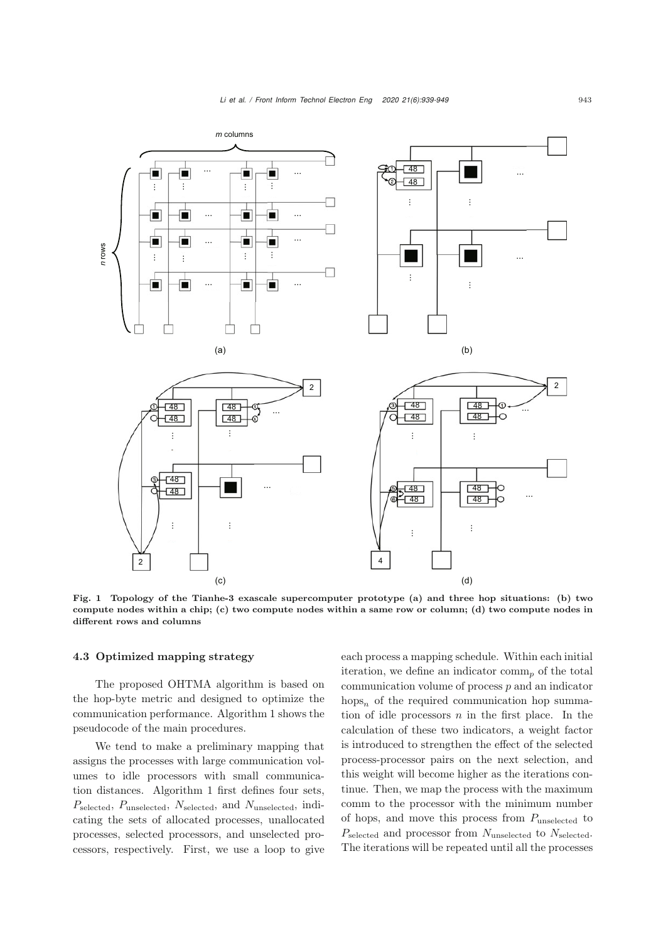

<span id="page-4-0"></span>Fig. 1 Topology of the Tianhe-3 exascale supercomputer prototype (a) and three hop situations: (b) two compute nodes within a chip; (c) two compute nodes within a same row or column; (d) two compute nodes in different rows and columns

## 4.3 Optimized mapping strategy

The proposed OHTMA algorithm is based on the hop-byte metric and designed to optimize the communication performance. Algorithm [1](#page-5-0) shows the pseudocode of the main procedures.

We tend to make a preliminary mapping that assigns the processes with large communication volumes to idle processors with small communication distances. Algorithm [1](#page-5-0) first defines four sets, *P*selected, *P*unselected, *N*selected, and *N*unselected, indicating the sets of allocated processes, unallocated processes, selected processors, and unselected processors, respectively. First, we use a loop to give each process a mapping schedule. Within each initial iteration, we define an indicator comm<sub>n</sub> of the total communication volume of process *p* and an indicator hops*<sup>n</sup>* of the required communication hop summation of idle processors *n* in the first place. In the calculation of these two indicators, a weight factor is introduced to strengthen the effect of the selected process-processor pairs on the next selection, and this weight will become higher as the iterations continue. Then, we map the process with the maximum comm to the processor with the minimum number of hops, and move this process from *P*unselected to *P*selected and processor from *N*unselected to *N*selected. The iterations will be repeated until all the processes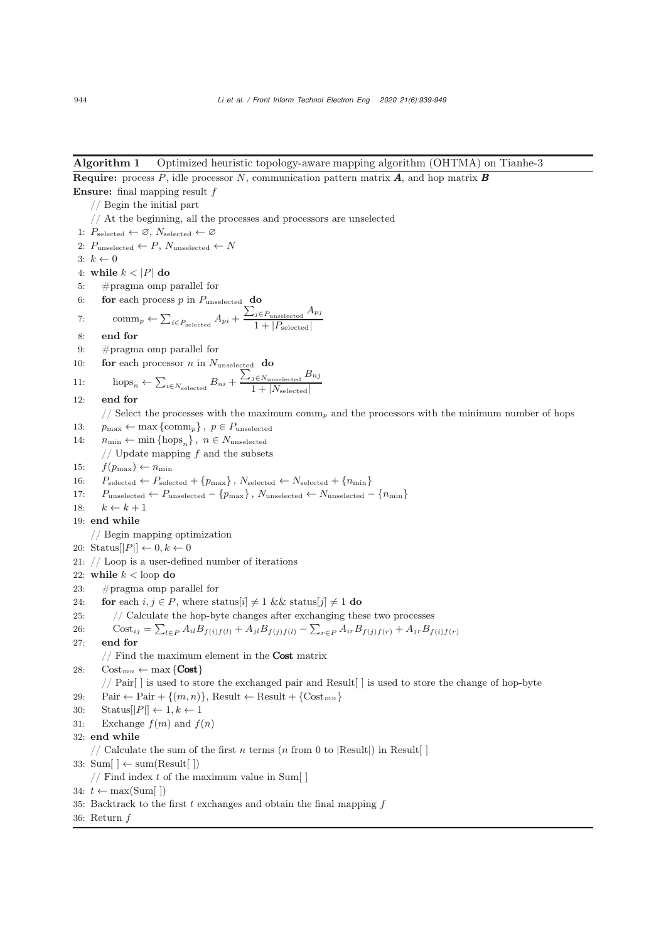#### <span id="page-5-0"></span>Algorithm 1 Optimized heuristic topology-aware mapping algorithm (OHTMA) on Tianhe-3

Require: process *P*, idle processor *N*, communication pattern matrix *A*, and hop matrix *B* Ensure: final mapping result *f* // Begin the initial part // At the beginning, all the processes and processors are unselected 1:  $P_{selected} \leftarrow \emptyset$ ,  $N_{selected} \leftarrow \emptyset$ 2:  $P_{\text{unselected}} \leftarrow P, N_{\text{unselected}} \leftarrow N$ 3:  $k \leftarrow 0$ 4: while  $k < |P|$  do 5: #pragma omp parallel for 6: **for** each process  $p$  in  $P_{\text{unselected}}$  **do** 7: comm<sub>*p*</sub> ←  $\sum_{i \in P_{\text{selected}}} A_{pi} + \frac{\sum_{j \in P_{\text{unselected}}} A_{pj}}{1 + |P_{\text{related}}|}$  $1 + |P_{\text{selected}}|$ 8: end for 9: #pragma omp parallel for 10: **for** each processor *n* in  $N_{\text{unselected}}$  **do** 11: hops<sub>n</sub> ←  $\sum_{i \in N_{selected}} B_{ni} + \frac{\sum_{j \in N_{unselected}} B_{nj}}{1 + |N_{selected}|}$  $1 + |N_{\text{selected}}|$ 12: end for // Select the processes with the maximum comm*<sup>p</sup>* and the processors with the minimum number of hops 13:  $p_{\text{max}} \leftarrow \max \{ \text{comm}_p \}, p \in P_{\text{unselected}}$ 14:  $n_{\min} \leftarrow \min \{\text{hops}_n\}, n \in N_{\text{unselected}}$ // Update mapping *f* and the subsets 15:  $f(p_{\text{max}}) \leftarrow n_{\text{min}}$ 16:  $P_{selected} \leftarrow P_{selected} + \{p_{max}\}, N_{selected} \leftarrow N_{selected} + \{n_{min}\}$ 17:  $P_{\text{unselected}} \leftarrow P_{\text{unselected}} - \{p_{\text{max}}\}, N_{\text{unselected}} \leftarrow N_{\text{unselected}} - \{n_{\text{min}}\}$ 18:  $k \leftarrow k + 1$ 19: end while // Begin mapping optimization 20: Status $||P|| \leftarrow 0, k \leftarrow 0$ 21: // Loop is a user-defined number of iterations 22: while  $k <$  loop do 23: #pragma omp parallel for 24: **for** each  $i, j \in P$ , where status[ $i \neq 1$  && status[ $j \neq 1$  **do** 25: // Calculate the hop-byte changes after exchanging these two processes 26:  $\text{Cost}_{ij} = \sum_{l \in P} A_{il} B_{f(i)f(l)} + A_{jl} B_{f(j)f(l)} - \sum_{r \in P} A_{ir} B_{f(j)f(r)} + A_{jr} B_{f(i)f(r)}$ 27: end for  $//$  Find the maximum element in the **Cost** matrix 28:  $\operatorname{Cost}_{mn} \leftarrow \max \{ \text{Cost} \}$ // Pair[ ] is used to store the exchanged pair and Result[ ] is used to store the change of hop-byte 29: Pair  $\leftarrow$  Pair + { $(m, n)$ }, Result  $\leftarrow$  Result + { $Cost_{mn}$ } 30: Status $||P|| \leftarrow 1, k \leftarrow 1$ 31: Exchange  $f(m)$  and  $f(n)$ 32: end while // Calculate the sum of the first  $n$  terms  $(n \text{ from } 0 \text{ to } |\text{Result}|)$  in Result 33:  $Sum[ \ ] \leftarrow sum(Result[ \ ])$ // Find index *t* of the maximum value in Sum[ ] 34:  $t \leftarrow \max(\text{Sum}[\ ])$ 35: Backtrack to the first *t* exchanges and obtain the final mapping *f* 36: Return *f*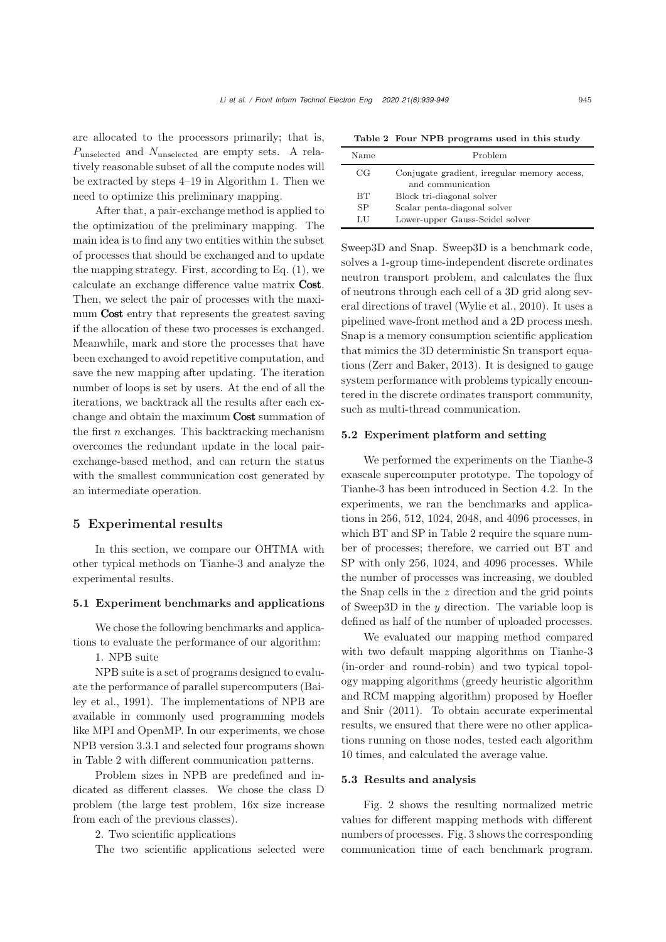are allocated to the processors primarily; that is, *P*unselected and *N*unselected are empty sets. A relatively reasonable subset of all the compute nodes will be extracted by steps 4–19 in Algorithm 1. Then we need to optimize this preliminary mapping.

After that, a pair-exchange method is applied to the optimization of the preliminary mapping. The main idea is to find any two entities within the subset of processes that should be exchanged and to update the mapping strategy. First, according to Eq.  $(1)$ , we calculate an exchange difference value matrix Cost. Then, we select the pair of processes with the maximum **Cost** entry that represents the greatest saving if the allocation of these two processes is exchanged. Meanwhile, mark and store the processes that have been exchanged to avoid repetitive computation, and save the new mapping after updating. The iteration number of loops is set by users. At the end of all the iterations, we backtrack all the results after each exchange and obtain the maximum Cost summation of the first *n* exchanges. This backtracking mechanism overcomes the redundant update in the local pairexchange-based method, and can return the status with the smallest communication cost generated by an intermediate operation.

# 5 Experimental results

In this section, we compare our OHTMA with other typical methods on Tianhe-3 and analyze the experimental results.

#### 5.1 Experiment benchmarks and applications

We chose the following benchmarks and applications to evaluate the performance of our algorithm:

1. NPB suite

NPB suite is a set of programs designed to evaluate the p[erformance](#page-9-4) [of](#page-9-4) [parallel](#page-9-4) [supercomputers](#page-9-4) [\(](#page-9-4)Bailey et al., [1991\)](#page-9-4). The implementations of NPB are available in commonly used programming models like MPI and OpenMP. In our experiments, we chose NPB version 3.3.1 and selected four programs shown in Table [2](#page-6-0) with different communication patterns.

Problem sizes in NPB are predefined and indicated as different classes. We chose the class D problem (the large test problem, 16x size increase from each of the previous classes).

2. Two scientific applications

The two scientific applications selected were

<span id="page-6-0"></span>Table 2 Four NPB programs used in this study

| Name      | Problem                                      |
|-----------|----------------------------------------------|
| CG        | Conjugate gradient, irregular memory access, |
|           | and communication                            |
| <b>BT</b> | Block tri-diagonal solver                    |
| SP        | Scalar penta-diagonal solver                 |
| LU        | Lower-upper Gauss-Seidel solver              |

Sweep3D and Snap. Sweep3D is a benchmark code, solves a 1-group time-independent discrete ordinates neutron transport problem, and calculates the flux of neutrons through each cell of a 3D grid along several directions of travel [\(Wylie et al., 2010](#page-10-16)). It uses a pipelined wave-front method and a 2D process mesh. Snap is a memory consumption scientific application that mimics the 3D deterministic Sn transport equations [\(Zerr and Baker](#page-10-17), [2013\)](#page-10-17). It is designed to gauge system performance with problems typically encountered in the discrete ordinates transport community, such as multi-thread communication.

#### 5.2 Experiment platform and setting

We performed the experiments on the Tianhe-3 exascale supercomputer prototype. The topology of Tianhe-3 has been introduced in Section 4.2. In the experiments, we ran the benchmarks and applications in 256, 512, 1024, 2048, and 4096 processes, in which BT and SP in Table 2 require the square number of processes; therefore, we carried out BT and SP with only 256, 1024, and 4096 processes. While the number of processes was increasing, we doubled the Snap cells in the *z* direction and the grid points of Sweep3D in the *y* direction. The variable loop is defined as half of the number of uploaded processes.

We evaluated our mapping method compared with two default mapping algorithms on Tianhe-3 (in-order and round-robin) and two typical topology mapping algorithms (greedy heuristic algorithm and RC[M](#page-10-6) [mapping](#page-10-6) [algorithm\)](#page-10-6) [proposed](#page-10-6) [by](#page-10-6) Hoefler and Snir [\(2011](#page-10-6)). To obtain accurate experimental results, we ensured that there were no other applications running on those nodes, tested each algorithm 10 times, and calculated the average value.

# 5.3 Results and analysis

Fig. [2](#page-7-0) shows the resulting normalized metric values for different mapping methods with different numbers of processes. Fig. [3](#page-8-0) shows the corresponding communication time of each benchmark program.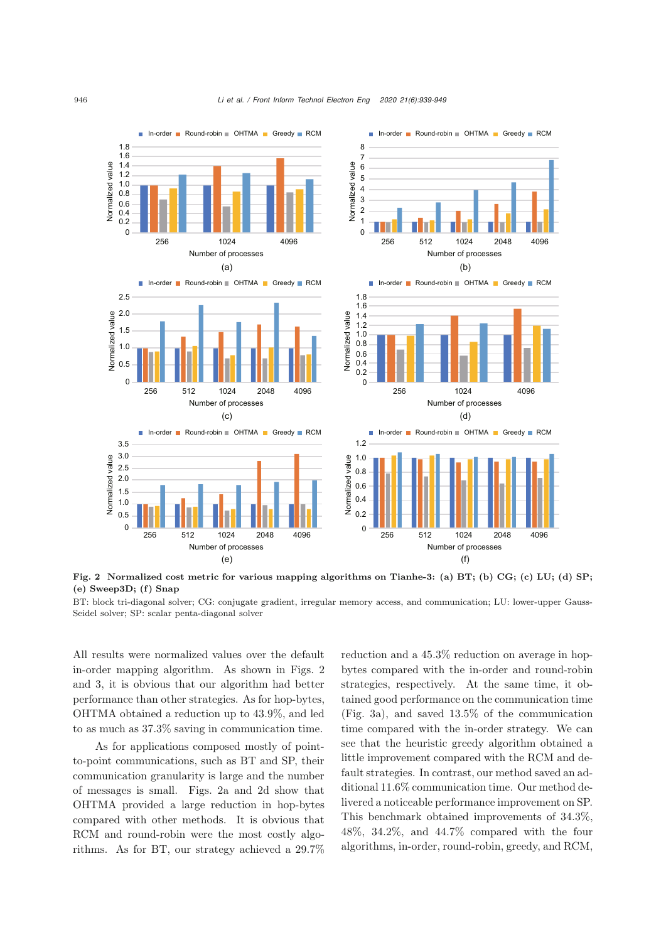

<span id="page-7-0"></span>Fig. 2 Normalized cost metric for various mapping algorithms on Tianhe-3: (a) BT; (b) CG; (c) LU; (d) SP;  $(e)$  Sweep3D;  $(f)$  Snap

BT: block tri-diagonal solver; CG: conjugate gradient, irregular memory access, and communication; LU: lower-upper Gauss-Seidel solver; SP: scalar penta-diagonal solver

All results were normalized values over the default in-order mapping algorithm. As shown in Figs. [2](#page-7-0) and [3,](#page-8-0) it is obvious that our algorithm had better performance than other strategies. As for hop-bytes, OHTMA obtained a reduction up to 43.9%, and led to as much as 37.3% saving in communication time.

As for applications composed mostly of pointto-point communications, such as BT and SP, their communication granularity is large and the number of messages is small. Figs. [2a](#page-7-0) and [2d](#page-7-0) show that OHTMA provided a large reduction in hop-bytes compared with other methods. It is obvious that RCM and round-robin were the most costly algorithms. As for BT, our strategy achieved a 29.7%

reduction and a 45.3% reduction on average in hopbytes compared with the in-order and round-robin strategies, respectively. At the same time, it obtained good performance on the communication time (Fig. [3a](#page-8-0)), and saved 13.5% of the communication time compared with the in-order strategy. We can see that the heuristic greedy algorithm obtained a little improvement compared with the RCM and default strategies. In contrast, our method saved an additional 11.6% communication time. Our method delivered a noticeable performance improvement on SP. This benchmark obtained improvements of 34.3%, 48%, 34.2%, and 44.7% compared with the four algorithms, in-order, round-robin, greedy, and RCM,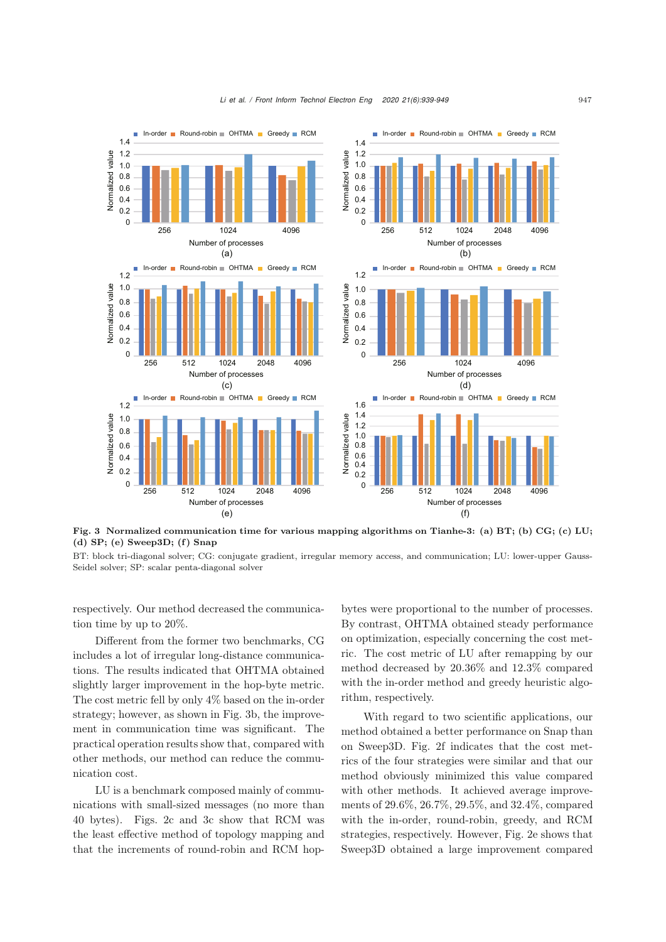

<span id="page-8-0"></span>Fig. 3 Normalized communication time for various mapping algorithms on Tianhe-3: (a) BT; (b) CG; (c) LU;  $(d)$  SP;  $(e)$  Sweep3D;  $(f)$  Snap

BT: block tri-diagonal solver; CG: conjugate gradient, irregular memory access, and communication; LU: lower-upper Gauss-Seidel solver; SP: scalar penta-diagonal solver

respectively. Our method decreased the communication time by up to 20%.

Different from the former two benchmarks, CG includes a lot of irregular long-distance communications. The results indicated that OHTMA obtained slightly larger improvement in the hop-byte metric. The cost metric fell by only 4% based on the in-order strategy; however, as shown in Fig. [3b](#page-8-0), the improvement in communication time was significant. The practical operation results show that, compared with other methods, our method can reduce the communication cost.

LU is a benchmark composed mainly of communications with small-sized messages (no more than 40 bytes). Figs. [2c](#page-7-0) and [3c](#page-8-0) show that RCM was the least effective method of topology mapping and that the increments of round-robin and RCM hopbytes were proportional to the number of processes. By contrast, OHTMA obtained steady performance on optimization, especially concerning the cost metric. The cost metric of LU after remapping by our method decreased by 20.36% and 12.3% compared with the in-order method and greedy heuristic algorithm, respectively.

With regard to two scientific applications, our method obtained a better performance on Snap than on Sweep3D. Fig. [2f](#page-7-0) indicates that the cost metrics of the four strategies were similar and that our method obviously minimized this value compared with other methods. It achieved average improvements of 29.6%, 26.7%, 29.5%, and 32.4%, compared with the in-order, round-robin, greedy, and RCM strategies, respectively. However, Fig. [2e](#page-7-0) shows that Sweep3D obtained a large improvement compared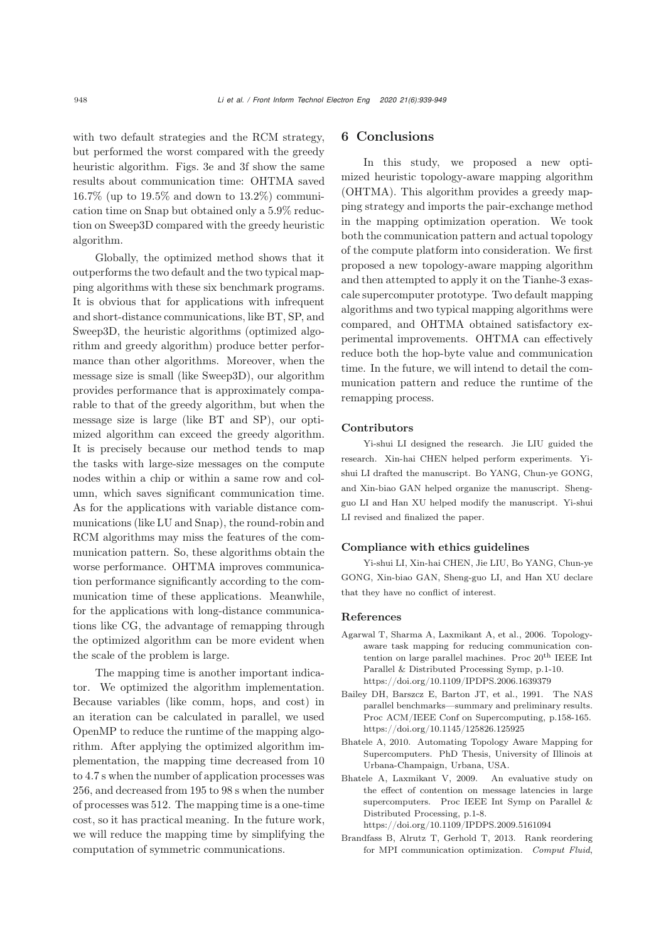with two default strategies and the RCM strategy, but performed the worst compared with the greedy heuristic algorithm. Figs. [3e](#page-8-0) and [3f](#page-8-0) show the same results about communication time: OHTMA saved 16.7% (up to 19.5% and down to 13.2%) communication time on Snap but obtained only a 5.9% reduction on Sweep3D compared with the greedy heuristic algorithm.

Globally, the optimized method shows that it outperforms the two default and the two typical mapping algorithms with these six benchmark programs. It is obvious that for applications with infrequent and short-distance communications, like BT, SP, and Sweep3D, the heuristic algorithms (optimized algorithm and greedy algorithm) produce better performance than other algorithms. Moreover, when the message size is small (like Sweep3D), our algorithm provides performance that is approximately comparable to that of the greedy algorithm, but when the message size is large (like BT and SP), our optimized algorithm can exceed the greedy algorithm. It is precisely because our method tends to map the tasks with large-size messages on the compute nodes within a chip or within a same row and column, which saves significant communication time. As for the applications with variable distance communications (like LU and Snap), the round-robin and RCM algorithms may miss the features of the communication pattern. So, these algorithms obtain the worse performance. OHTMA improves communication performance significantly according to the communication time of these applications. Meanwhile, for the applications with long-distance communications like CG, the advantage of remapping through the optimized algorithm can be more evident when the scale of the problem is large.

The mapping time is another important indicator. We optimized the algorithm implementation. Because variables (like comm, hops, and cost) in an iteration can be calculated in parallel, we used OpenMP to reduce the runtime of the mapping algorithm. After applying the optimized algorithm implementation, the mapping time decreased from 10 to 4.7 s when the number of application processes was 256, and decreased from 195 to 98 s when the number of processes was 512. The mapping time is a one-time cost, so it has practical meaning. In the future work, we will reduce the mapping time by simplifying the computation of symmetric communications.

# 6 Conclusions

In this study, we proposed a new optimized heuristic topology-aware mapping algorithm (OHTMA). This algorithm provides a greedy mapping strategy and imports the pair-exchange method in the mapping optimization operation. We took both the communication pattern and actual topology of the compute platform into consideration. We first proposed a new topology-aware mapping algorithm and then attempted to apply it on the Tianhe-3 exascale supercomputer prototype. Two default mapping algorithms and two typical mapping algorithms were compared, and OHTMA obtained satisfactory experimental improvements. OHTMA can effectively reduce both the hop-byte value and communication time. In the future, we will intend to detail the communication pattern and reduce the runtime of the remapping process.

#### Contributors

Yi-shui LI designed the research. Jie LIU guided the research. Xin-hai CHEN helped perform experiments. Yishui LI drafted the manuscript. Bo YANG, Chun-ye GONG, and Xin-biao GAN helped organize the manuscript. Shengguo LI and Han XU helped modify the manuscript. Yi-shui LI revised and finalized the paper.

#### Compliance with ethics guidelines

Yi-shui LI, Xin-hai CHEN, Jie LIU, Bo YANG, Chun-ye GONG, Xin-biao GAN, Sheng-guo LI, and Han XU declare that they have no conflict of interest.

#### References

- <span id="page-9-1"></span>Agarwal T, Sharma A, Laxmikant A, et al., 2006. Topologyaware task mapping for reducing communication contention on large parallel machines. Proc $20^{\rm th}$  IEEE Int Parallel & Distributed Processing Symp, p.1-10. https://doi.org/10.1109/IPDPS.2006.1639379
- <span id="page-9-4"></span>Bailey DH, Barszcz E, Barton JT, et al., 1991. The NAS parallel benchmarks—summary and preliminary results. Proc ACM/IEEE Conf on Supercomputing, p.158-165. https://doi.org/10.1145/125826.125925
- <span id="page-9-3"></span>Bhatele A, 2010. Automating Topology Aware Mapping for Supercomputers. PhD Thesis, University of Illinois at Urbana-Champaign, Urbana, USA.
- <span id="page-9-0"></span>Bhatele A, Laxmikant V, 2009. An evaluative study on the effect of contention on message latencies in large supercomputers. Proc IEEE Int Symp on Parallel & Distributed Processing, p.1-8. https://doi.org/10.1109/IPDPS.2009.5161094
- <span id="page-9-2"></span>Brandfass B, Alrutz T, Gerhold T, 2013. Rank reordering for MPI communication optimization. *Comput Fluid*,